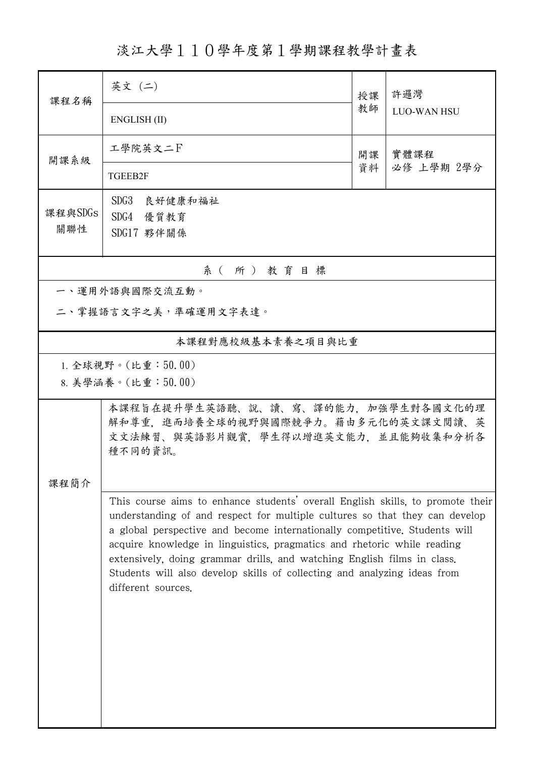淡江大學110學年度第1學期課程教學計畫表

| 課程名稱           | 英文 (二)                                                                                                                                                                                                                                                                                                                                                                                                                                                                                              | 授課 | 許邏灣<br><b>LUO-WAN HSU</b> |  |  |  |
|----------------|-----------------------------------------------------------------------------------------------------------------------------------------------------------------------------------------------------------------------------------------------------------------------------------------------------------------------------------------------------------------------------------------------------------------------------------------------------------------------------------------------------|----|---------------------------|--|--|--|
|                | ENGLISH (II)                                                                                                                                                                                                                                                                                                                                                                                                                                                                                        | 教師 |                           |  |  |  |
| 開課系級           | 工學院英文二下                                                                                                                                                                                                                                                                                                                                                                                                                                                                                             | 開課 | 實體課程<br>必修 上學期 2學分        |  |  |  |
|                | TGEEB2F                                                                                                                                                                                                                                                                                                                                                                                                                                                                                             | 資料 |                           |  |  |  |
| 課程與SDGs        | SDG3 良好健康和福祉<br>SDG4 優質教育                                                                                                                                                                                                                                                                                                                                                                                                                                                                           |    |                           |  |  |  |
| 關聯性            | SDG17 夥伴關係                                                                                                                                                                                                                                                                                                                                                                                                                                                                                          |    |                           |  |  |  |
| 系(所)教育目標       |                                                                                                                                                                                                                                                                                                                                                                                                                                                                                                     |    |                           |  |  |  |
| 一、運用外語與國際交流互動。 |                                                                                                                                                                                                                                                                                                                                                                                                                                                                                                     |    |                           |  |  |  |
|                | 二、掌握語言文字之美,準確運用文字表達。                                                                                                                                                                                                                                                                                                                                                                                                                                                                                |    |                           |  |  |  |
|                | 本課程對應校級基本素養之項目與比重                                                                                                                                                                                                                                                                                                                                                                                                                                                                                   |    |                           |  |  |  |
|                | 1. 全球視野。(比重:50.00)                                                                                                                                                                                                                                                                                                                                                                                                                                                                                  |    |                           |  |  |  |
|                | 8. 美學涵養。(比重:50.00)                                                                                                                                                                                                                                                                                                                                                                                                                                                                                  |    |                           |  |  |  |
|                | 本課程旨在提升學生英語聽、說、讀、寫、譯的能力,加強學生對各國文化的理<br>解和尊重,進而培養全球的視野與國際競爭力。藉由多元化的英文課文閱讀、英<br>文文法練習、與英語影片觀賞,學生得以增進英文能力,並且能夠收集和分析各<br>種不同的資訊。                                                                                                                                                                                                                                                                                                                                                                        |    |                           |  |  |  |
| 課程簡介           |                                                                                                                                                                                                                                                                                                                                                                                                                                                                                                     |    |                           |  |  |  |
|                | This course aims to enhance students' overall English skills, to promote their<br>understanding of and respect for multiple cultures so that they can develop<br>a global perspective and become internationally competitive. Students will<br>acquire knowledge in linguistics, pragmatics and rhetoric while reading<br>extensively, doing grammar drills, and watching English films in class.<br>Students will also develop skills of collecting and analyzing ideas from<br>different sources. |    |                           |  |  |  |
|                |                                                                                                                                                                                                                                                                                                                                                                                                                                                                                                     |    |                           |  |  |  |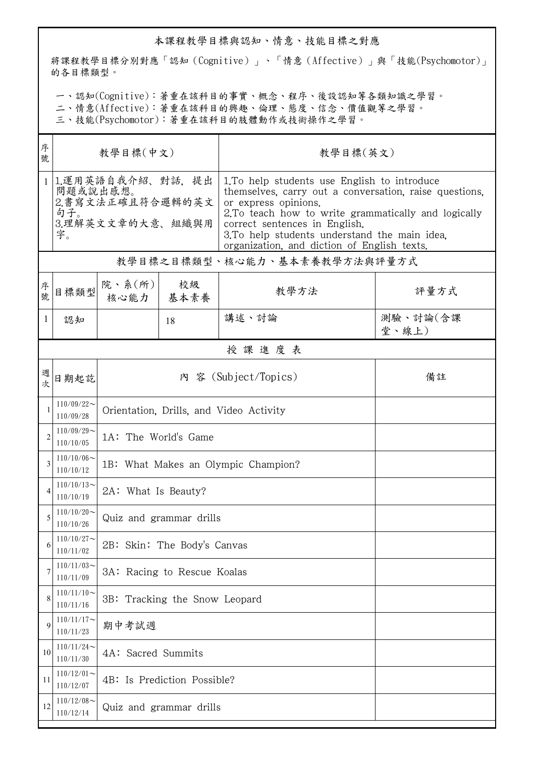## 本課程教學目標與認知、情意、技能目標之對應

將課程教學目標分別對應「認知(Cognitive)」、「情意(Affective)」與「技能(Psychomotor)」 的各目標類型。

一、認知(Cognitive):著重在該科目的事實、概念、程序、後設認知等各類知識之學習。

二、情意(Affective):著重在該科目的興趣、倫理、態度、信念、價值觀等之學習。

三、技能(Psychomotor):著重在該科目的肢體動作或技術操作之學習。

| 序<br>號         | 教學目標(中文)                                                                           |                                         |    | 教學目標(英文)                                                                                                                                                                                                                                                                                                               |                   |  |  |  |
|----------------|------------------------------------------------------------------------------------|-----------------------------------------|----|------------------------------------------------------------------------------------------------------------------------------------------------------------------------------------------------------------------------------------------------------------------------------------------------------------------------|-------------------|--|--|--|
| $\mathbf{1}$   | 1.運用英語自我介紹、對話, 提出<br>問題或說出感想。<br>2.書寫文法正確且符合邏輯的英文<br>句子。<br>3.理解英文文章的大意、組織與用<br>字。 |                                         |    | 1.To help students use English to introduce<br>themselves, carry out a conversation, raise questions,<br>or express opinions.<br>2. To teach how to write grammatically and logically<br>correct sentences in English.<br>3. To help students understand the main idea.<br>organization, and diction of English texts. |                   |  |  |  |
|                | 教學目標之目標類型、核心能力、基本素養教學方法與評量方式                                                       |                                         |    |                                                                                                                                                                                                                                                                                                                        |                   |  |  |  |
| 序號             | 日標類型                                                                               | 院、系 $(\kappa)$  <br>核心能力   基本素養         | 校級 | 教學方法                                                                                                                                                                                                                                                                                                                   | 評量方式              |  |  |  |
| 1              | 認知                                                                                 |                                         | 18 | 講述、討論                                                                                                                                                                                                                                                                                                                  | 測驗、討論(含課<br>堂、線上) |  |  |  |
|                | 授課進度表                                                                              |                                         |    |                                                                                                                                                                                                                                                                                                                        |                   |  |  |  |
| 週              | 日期起訖                                                                               | 內 容 (Subject/Topics)<br>備註              |    |                                                                                                                                                                                                                                                                                                                        |                   |  |  |  |
|                | $110/09/22$ ~<br>110/09/28                                                         | Orientation, Drills, and Video Activity |    |                                                                                                                                                                                                                                                                                                                        |                   |  |  |  |
| $\overline{2}$ | $110/09/29$ ~<br>110/10/05                                                         | 1A: The World's Game                    |    |                                                                                                                                                                                                                                                                                                                        |                   |  |  |  |
| 3              | $110/10/06 \sim$<br>110/10/12                                                      | 1B: What Makes an Olympic Champion?     |    |                                                                                                                                                                                                                                                                                                                        |                   |  |  |  |
| 4              | $110/10/13$ ~<br>110/10/19                                                         | 2A: What Is Beauty?                     |    |                                                                                                                                                                                                                                                                                                                        |                   |  |  |  |
| 5              | $110/10/20$ ~<br>110/10/26                                                         | Quiz and grammar drills                 |    |                                                                                                                                                                                                                                                                                                                        |                   |  |  |  |
| 6              | $110/10/27$ ~<br>110/11/02                                                         | 2B: Skin: The Body's Canvas             |    |                                                                                                                                                                                                                                                                                                                        |                   |  |  |  |
|                | $110/11/03$ ~<br>110/11/09                                                         | 3A: Racing to Rescue Koalas             |    |                                                                                                                                                                                                                                                                                                                        |                   |  |  |  |
| 8              | $110/11/10$ ~<br>110/11/16                                                         | 3B: Tracking the Snow Leopard           |    |                                                                                                                                                                                                                                                                                                                        |                   |  |  |  |
| 9              | $110/11/17$ ~<br>110/11/23                                                         | 期中考試週                                   |    |                                                                                                                                                                                                                                                                                                                        |                   |  |  |  |
| 10             | $110/11/24$ ~<br>110/11/30                                                         | 4A: Sacred Summits                      |    |                                                                                                                                                                                                                                                                                                                        |                   |  |  |  |
| 11             | $110/12/01$ ~<br>110/12/07                                                         | 4B: Is Prediction Possible?             |    |                                                                                                                                                                                                                                                                                                                        |                   |  |  |  |
| 12             | $110/12/08$ ~<br>110/12/14                                                         | Quiz and grammar drills                 |    |                                                                                                                                                                                                                                                                                                                        |                   |  |  |  |